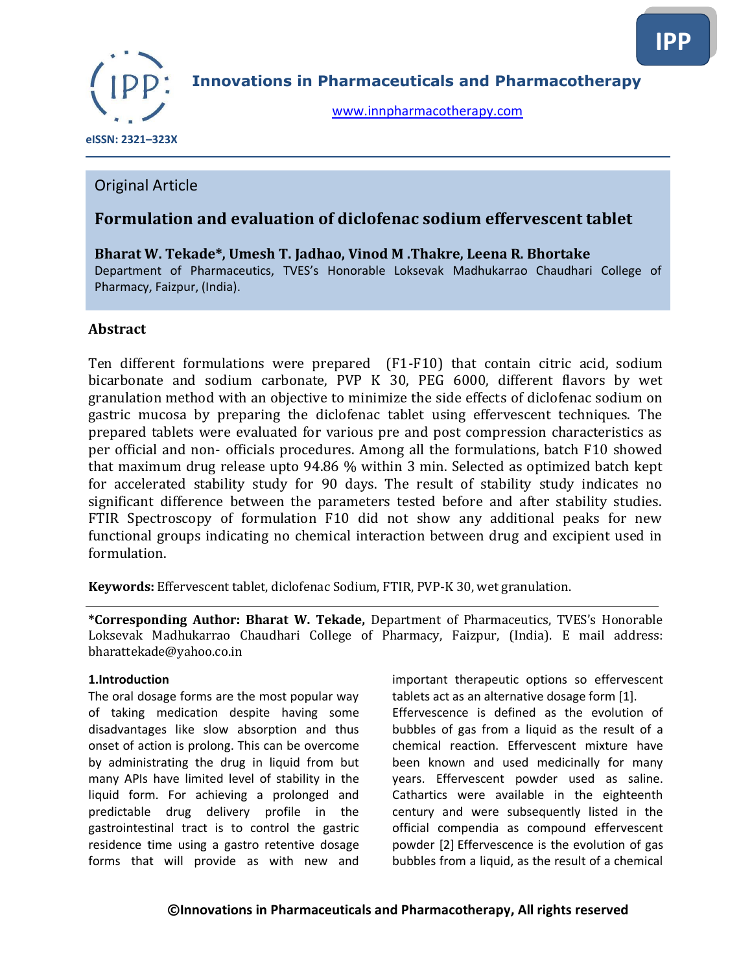

**Innovations in Pharmaceuticals and Pharmacotherapy**

[www.innpharmacotherapy.com](http://www.innpharmacotherapy.com/)

 **eISSN: 2321–323X**

# Original Article

# **Formulation and evaluation of diclofenac sodium effervescent tablet**

**Bharat W. Tekade\*, Umesh T. Jadhao, Vinod M .Thakre, Leena R. Bhortake**  Department of Pharmaceutics, TVES's Honorable Loksevak Madhukarrao Chaudhari College of Pharmacy, Faizpur, (India).

# **Abstract**

Ten different formulations were prepared (F1-F10) that contain citric acid, sodium bicarbonate and sodium carbonate, PVP K 30, PEG 6000, different flavors by wet granulation method with an objective to minimize the side effects of diclofenac sodium on gastric mucosa by preparing the diclofenac tablet using effervescent techniques. The prepared tablets were evaluated for various pre and post compression characteristics as per official and non- officials procedures. Among all the formulations, batch F10 showed that maximum drug release upto 94.86 % within 3 min. Selected as optimized batch kept for accelerated stability study for 90 days. The result of stability study indicates no significant difference between the parameters tested before and after stability studies. FTIR Spectroscopy of formulation F10 did not show any additional peaks for new functional groups indicating no chemical interaction between drug and excipient used in formulation.

**Keywords:** Effervescent tablet, diclofenac Sodium, FTIR, PVP-K 30, wet granulation.

**\*Corresponding Author: Bharat W. Tekade,** Department of Pharmaceutics, TVES's Honorable Loksevak Madhukarrao Chaudhari College of Pharmacy, Faizpur, (India). E mail address: bharattekade@yahoo.co.in

#### **1.Introduction**

The oral dosage forms are the most popular way of taking medication despite having some disadvantages like slow absorption and thus onset of action is prolong. This can be overcome by administrating the drug in liquid from but many APIs have limited level of stability in the liquid form. For achieving a prolonged and predictable drug delivery profile in the gastrointestinal tract is to control the gastric residence time using a gastro retentive dosage forms that will provide as with new and

important therapeutic options so effervescent tablets act as an alternative dosage form [1]. Effervescence is defined as the evolution of bubbles of gas from a liquid as the result of a

chemical reaction. Effervescent mixture have been known and used medicinally for many years. Effervescent powder used as saline. Cathartics were available in the eighteenth century and were subsequently listed in the official compendia as compound effervescent powder [2] Effervescence is the evolution of gas bubbles from a liquid, as the result of a chemical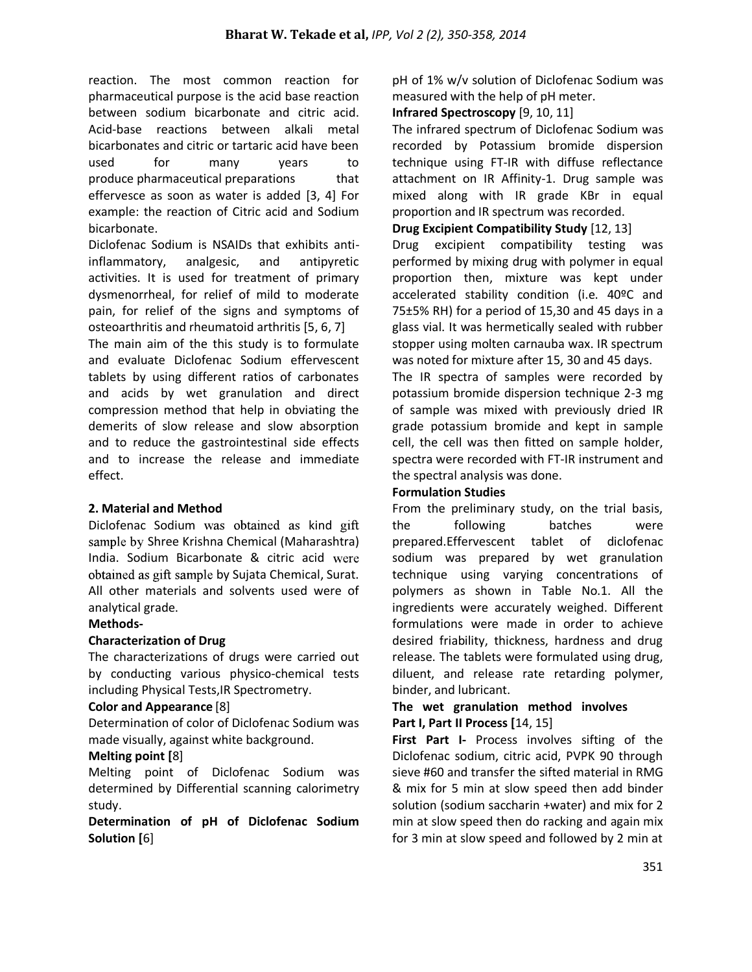reaction. The most common reaction for pharmaceutical purpose is the acid base reaction between sodium bicarbonate and citric acid. Acid-base reactions between alkali metal bicarbonates and citric or tartaric acid have been used for many years to produce pharmaceutical preparations that effervesce as soon as water is added [3, 4] For example: the reaction of Citric acid and Sodium bicarbonate.

Diclofenac Sodium is NSAIDs that exhibits antiinflammatory, analgesic, and antipyretic activities. It is used for treatment of primary dysmenorrheal, for relief of mild to moderate pain, for relief of the signs and symptoms of osteoarthritis and rheumatoid arthritis [5, 6, 7]

The main aim of the this study is to formulate and evaluate Diclofenac Sodium effervescent tablets by using different ratios of carbonates and acids by wet granulation and direct compression method that help in obviating the demerits of slow release and slow absorption and to reduce the gastrointestinal side effects and to increase the release and immediate effect.

### **2. Material and Method**

Diclofenac Sodium was obtained as kind gift sample by Shree Krishna Chemical (Maharashtra) India. Sodium Bicarbonate & citric acid obtained as gift sample by Sujata Chemical, Surat. All other materials and solvents used were of analytical grade.

### **Methods-**

### **Characterization of Drug**

The characterizations of drugs were carried out by conducting various physico-chemical tests including Physical Tests,IR Spectrometry.

### **Color and Appearance** [8]

Determination of color of Diclofenac Sodium was made visually, against white background.

### **Melting point [**8]

Melting point of Diclofenac Sodium was determined by Differential scanning calorimetry study.

**Determination of pH of Diclofenac Sodium Solution [**6]

pH of 1% w/v solution of Diclofenac Sodium was measured with the help of pH meter.

# **Infrared Spectroscopy** [9, 10, 11]

The infrared spectrum of Diclofenac Sodium was recorded by Potassium bromide dispersion technique using FT-IR with diffuse reflectance attachment on IR Affinity-1. Drug sample was mixed along with IR grade KBr in equal proportion and IR spectrum was recorded.

# **Drug Excipient Compatibility Study** [12, 13]

Drug excipient compatibility testing was performed by mixing drug with polymer in equal proportion then, mixture was kept under accelerated stability condition (i.e. 40ºC and 75±5% RH) for a period of 15,30 and 45 days in a glass vial. It was hermetically sealed with rubber stopper using molten carnauba wax. IR spectrum was noted for mixture after 15, 30 and 45 days.

The IR spectra of samples were recorded by potassium bromide dispersion technique 2-3 mg of sample was mixed with previously dried IR grade potassium bromide and kept in sample cell, the cell was then fitted on sample holder, spectra were recorded with FT-IR instrument and the spectral analysis was done.

### **Formulation Studies**

From the preliminary study, on the trial basis, the following batches were prepared.Effervescent tablet of diclofenac sodium was prepared by wet granulation technique using varying concentrations of polymers as shown in Table No.1. All the ingredients were accurately weighed. Different formulations were made in order to achieve desired friability, thickness, hardness and drug release. The tablets were formulated using drug, diluent, and release rate retarding polymer, binder, and lubricant.

### **The wet granulation method involves Part I, Part II Process [**14, 15]

**First Part I-** Process involves sifting of the Diclofenac sodium, citric acid, PVPK 90 through sieve #60 and transfer the sifted material in RMG & mix for 5 min at slow speed then add binder solution (sodium saccharin +water) and mix for 2 min at slow speed then do racking and again mix for 3 min at slow speed and followed by 2 min at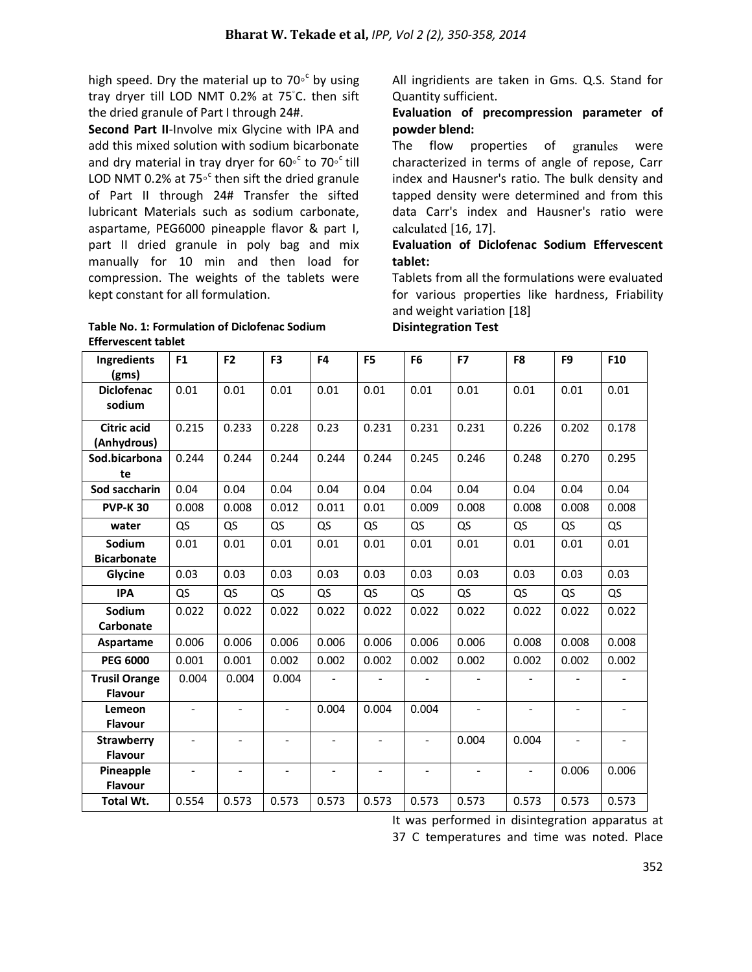high speed. Dry the material up to 70 $\circ$ <sup>c</sup> by using tray dryer till LOD NMT 0.2% at 75◦ C. then sift the dried granule of Part I through 24#.

**Second Part II**-Involve mix Glycine with IPA and add this mixed solution with sodium bicarbonate and dry material in tray dryer for 60<sup>°</sup> to 70<sup>°</sup> till LOD NMT 0.2% at 75 $\circ$ <sup>c</sup> then sift the dried granule of Part II through 24# Transfer the sifted lubricant Materials such as sodium carbonate, aspartame, PEG6000 pineapple flavor & part I, part II dried granule in poly bag and mix manually for 10 min and then load for compression. The weights of the tablets were kept constant for all formulation.

#### **Table No. 1: Formulation of Diclofenac Sodium Effervescent tablet**

All ingridients are taken in Gms. Q.S. Stand for Quantity sufficient.

# **Evaluation of precompression parameter of powder blend:**

The flow properties of granules were characterized in terms of angle of repose, Carr index and Hausner's ratio. The bulk density and tapped density were determined and from this data Carr's index and Hausner's ratio were calculated [16, 17].

# **Evaluation of Diclofenac Sodium Effervescent tablet:**

Tablets from all the formulations were evaluated for various properties like hardness, Friability and weight variation [18]

**Disintegration Test** 

| Ingredients<br>(gms)                   | F <sub>1</sub>           | F <sub>2</sub>           | F <sub>3</sub>           | F4                       | F <sub>5</sub>           | F <sub>6</sub>           | F7                       | F8                       | F <sub>9</sub>           | F10                          |
|----------------------------------------|--------------------------|--------------------------|--------------------------|--------------------------|--------------------------|--------------------------|--------------------------|--------------------------|--------------------------|------------------------------|
| <b>Diclofenac</b><br>sodium            | 0.01                     | 0.01                     | 0.01                     | 0.01                     | 0.01                     | 0.01                     | 0.01                     | 0.01                     | 0.01                     | 0.01                         |
| <b>Citric acid</b><br>(Anhydrous)      | 0.215                    | 0.233                    | 0.228                    | 0.23                     | 0.231                    | 0.231                    | 0.231                    | 0.226                    | 0.202                    | 0.178                        |
| Sod.bicarbona<br>te                    | 0.244                    | 0.244                    | 0.244                    | 0.244                    | 0.244                    | 0.245                    | 0.246                    | 0.248                    | 0.270                    | 0.295                        |
| Sod saccharin                          | 0.04                     | 0.04                     | 0.04                     | 0.04                     | 0.04                     | 0.04                     | 0.04                     | 0.04                     | 0.04                     | 0.04                         |
| <b>PVP-K30</b>                         | 0.008                    | 0.008                    | 0.012                    | 0.011                    | 0.01                     | 0.009                    | 0.008                    | 0.008                    | 0.008                    | 0.008                        |
| water                                  | QS                       | QS                       | QS                       | QS                       | QS                       | QS                       | QS                       | QS                       | QS                       | QS                           |
| Sodium<br><b>Bicarbonate</b>           | 0.01                     | 0.01                     | 0.01                     | 0.01                     | 0.01                     | 0.01                     | 0.01                     | 0.01                     | 0.01                     | 0.01                         |
| Glycine                                | 0.03                     | 0.03                     | 0.03                     | 0.03                     | 0.03                     | 0.03                     | 0.03                     | 0.03                     | 0.03                     | 0.03                         |
| <b>IPA</b>                             | QS                       | QS                       | QS                       | QS                       | QS                       | QS                       | QS                       | QS                       | QS                       | QS                           |
| Sodium<br>Carbonate                    | 0.022                    | 0.022                    | 0.022                    | 0.022                    | 0.022                    | 0.022                    | 0.022                    | 0.022                    | 0.022                    | 0.022                        |
| Aspartame                              | 0.006                    | 0.006                    | 0.006                    | 0.006                    | 0.006                    | 0.006                    | 0.006                    | 0.008                    | 0.008                    | 0.008                        |
| <b>PEG 6000</b>                        | 0.001                    | 0.001                    | 0.002                    | 0.002                    | 0.002                    | 0.002                    | 0.002                    | 0.002                    | 0.002                    | 0.002                        |
| <b>Trusil Orange</b><br><b>Flavour</b> | 0.004                    | 0.004                    | 0.004                    | $\overline{a}$           |                          |                          |                          |                          |                          |                              |
| Lemeon<br><b>Flavour</b>               | $\overline{a}$           | $\overline{a}$           | $\blacksquare$           | 0.004                    | 0.004                    | 0.004                    | $\overline{a}$           | $\overline{\phantom{a}}$ | $\blacksquare$           | $\blacksquare$               |
| <b>Strawberry</b><br><b>Flavour</b>    | $\overline{\phantom{0}}$ | $\frac{1}{2}$            | $\overline{\phantom{a}}$ | $\frac{1}{2}$            | $\overline{\phantom{0}}$ | $\overline{\phantom{a}}$ | 0.004                    | 0.004                    | $\overline{\phantom{a}}$ | $\qquad \qquad \blacksquare$ |
| Pineapple<br><b>Flavour</b>            | $\frac{1}{2}$            | $\overline{\phantom{0}}$ | $\overline{\phantom{a}}$ | $\overline{\phantom{0}}$ | $\overline{\phantom{a}}$ | $\overline{\phantom{a}}$ | $\overline{\phantom{a}}$ | $\overline{\phantom{a}}$ | 0.006                    | 0.006                        |
| Total Wt.                              | 0.554                    | 0.573                    | 0.573                    | 0.573                    | 0.573                    | 0.573                    | 0.573                    | 0.573                    | 0.573                    | 0.573                        |

It was performed in disintegration apparatus at 37 C temperatures and time was noted. Place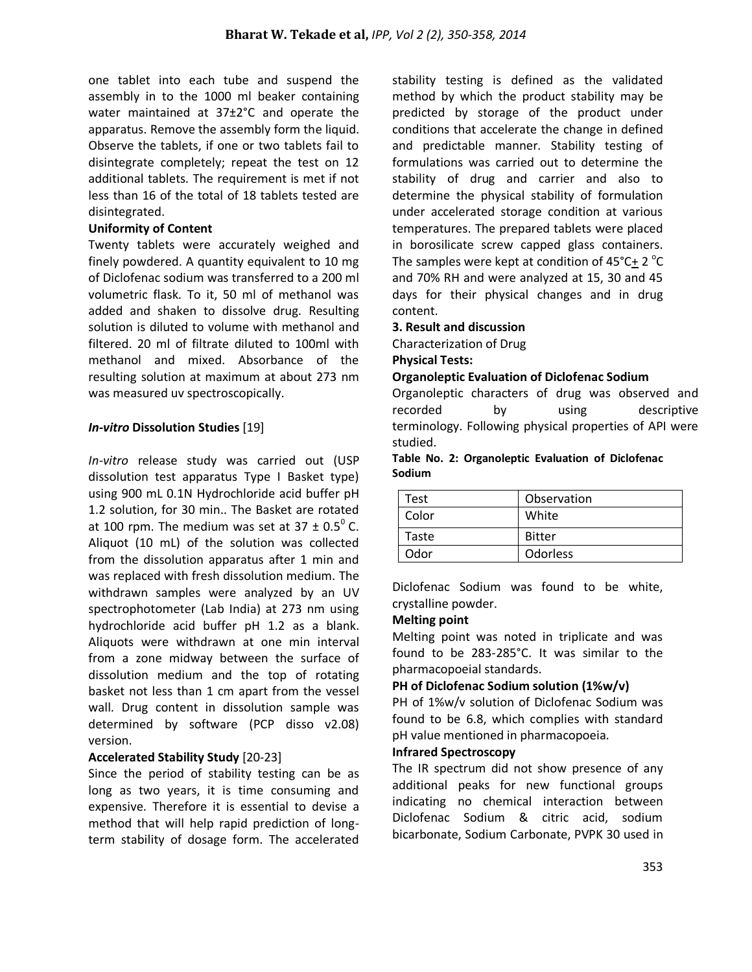one tablet into each tube and suspend the assembly in to the 1000 ml beaker containing water maintained at 37±2°C and operate the apparatus. Remove the assembly form the liquid. Observe the tablets, if one or two tablets fail to disintegrate completely; repeat the test on 12 additional tablets. The requirement is met if not less than 16 of the total of 18 tablets tested are disintegrated.

#### **Uniformity of Content**

Twenty tablets were accurately weighed and finely powdered. A quantity equivalent to 10 mg of Diclofenac sodium was transferred to a 200 ml volumetric flask. To it, 50 ml of methanol was added and shaken to dissolve drug. Resulting solution is diluted to volume with methanol and filtered. 20 ml of filtrate diluted to 100ml with methanol and mixed. Absorbance of the resulting solution at maximum at about 273 nm was measured uv spectroscopically.

### *In-vitro* **Dissolution Studies** [19]

*In-vitro* release study was carried out (USP dissolution test apparatus Type I Basket type) using 900 mL 0.1N Hydrochloride acid buffer pH 1.2 solution, for 30 min.. The Basket are rotated at 100 rpm. The medium was set at  $37 \pm 0.5^{\circ}$  C. Aliquot (10 mL) of the solution was collected from the dissolution apparatus after 1 min and was replaced with fresh dissolution medium. The withdrawn samples were analyzed by an UV spectrophotometer (Lab India) at 273 nm using hydrochloride acid buffer pH 1.2 as a blank. Aliquots were withdrawn at one min interval from a zone midway between the surface of dissolution medium and the top of rotating basket not less than 1 cm apart from the vessel wall. Drug content in dissolution sample was determined by software (PCP disso v2.08) version.

### **Accelerated Stability Study** [20-23]

Since the period of stability testing can be as long as two years, it is time consuming and expensive. Therefore it is essential to devise a method that will help rapid prediction of longterm stability of dosage form. The accelerated

stability testing is defined as the validated method by which the product stability may be predicted by storage of the product under conditions that accelerate the change in defined and predictable manner. Stability testing of formulations was carried out to determine the stability of drug and carrier and also to determine the physical stability of formulation under accelerated storage condition at various temperatures. The prepared tablets were placed in borosilicate screw capped glass containers. The samples were kept at condition of  $45^{\circ}$ C $+$  2  $^{\circ}$ C and 70% RH and were analyzed at 15, 30 and 45 days for their physical changes and in drug content.

#### **3. Result and discussion**

Characterization of Drug

## **Physical Tests:**

#### **Organoleptic Evaluation of Diclofenac Sodium**

Organoleptic characters of drug was observed and recorded by using descriptive terminology. Following physical properties of API were studied.

#### **Table No. 2: Organoleptic Evaluation of Diclofenac Sodium**

| Test  | Observation     |
|-------|-----------------|
| Color | White           |
| Taste | <b>Bitter</b>   |
| Odor  | <b>Odorless</b> |

Diclofenac Sodium was found to be white, crystalline powder.

#### **Melting point**

Melting point was noted in triplicate and was found to be 283-285°C. It was similar to the pharmacopoeial standards.

### **PH of Diclofenac Sodium solution (1%w/v)**

PH of 1%w/v solution of Diclofenac Sodium was found to be 6.8, which complies with standard pH value mentioned in pharmacopoeia.

#### **Infrared Spectroscopy**

The IR spectrum did not show presence of any additional peaks for new functional groups indicating no chemical interaction between Diclofenac Sodium & citric acid, sodium bicarbonate, Sodium Carbonate, PVPK 30 used in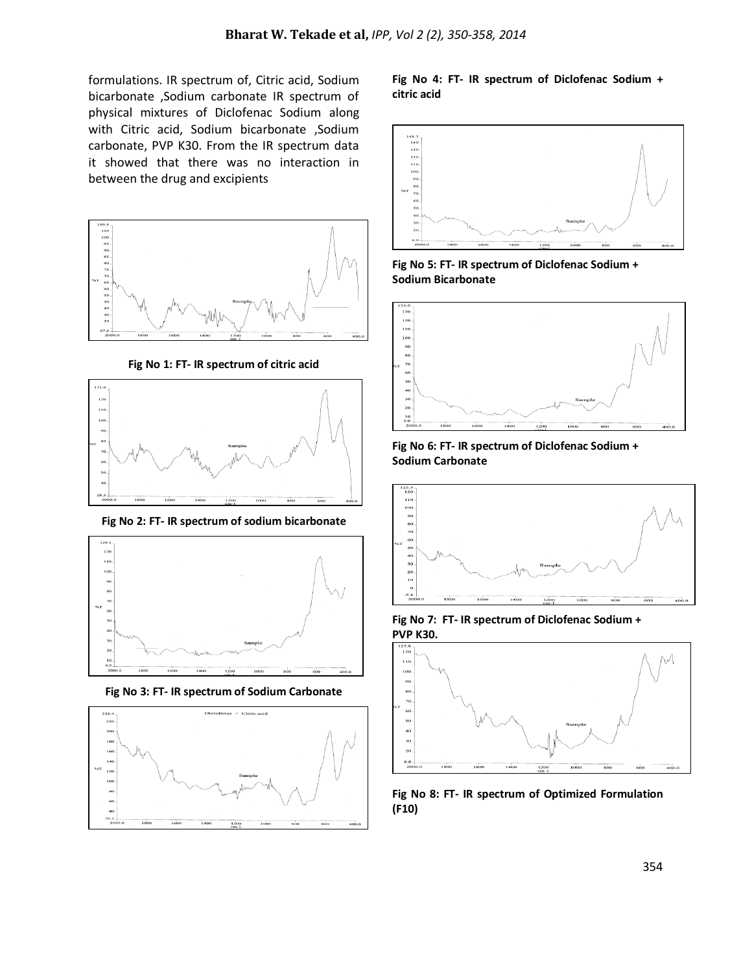formulations. IR spectrum of, Citric acid, Sodium bicarbonate ,Sodium carbonate IR spectrum of physical mixtures of Diclofenac Sodium along with Citric acid, Sodium bicarbonate ,Sodium carbonate, PVP K30. From the IR spectrum data it showed that there was no interaction in between the drug and excipients



**Fig No 1: FT- IR spectrum of citric acid**



**Fig No 2: FT- IR spectrum of sodium bicarbonate**



**Fig No 3: FT- IR spectrum of Sodium Carbonate**



#### **Fig No 4: FT- IR spectrum of Diclofenac Sodium + citric acid**



**Fig No 5: FT- IR spectrum of Diclofenac Sodium + Sodium Bicarbonate**



**Fig No 6: FT- IR spectrum of Diclofenac Sodium + Sodium Carbonate**



**Fig No 7: FT- IR spectrum of Diclofenac Sodium + PVP K30.**



**Fig No 8: FT- IR spectrum of Optimized Formulation (F10)**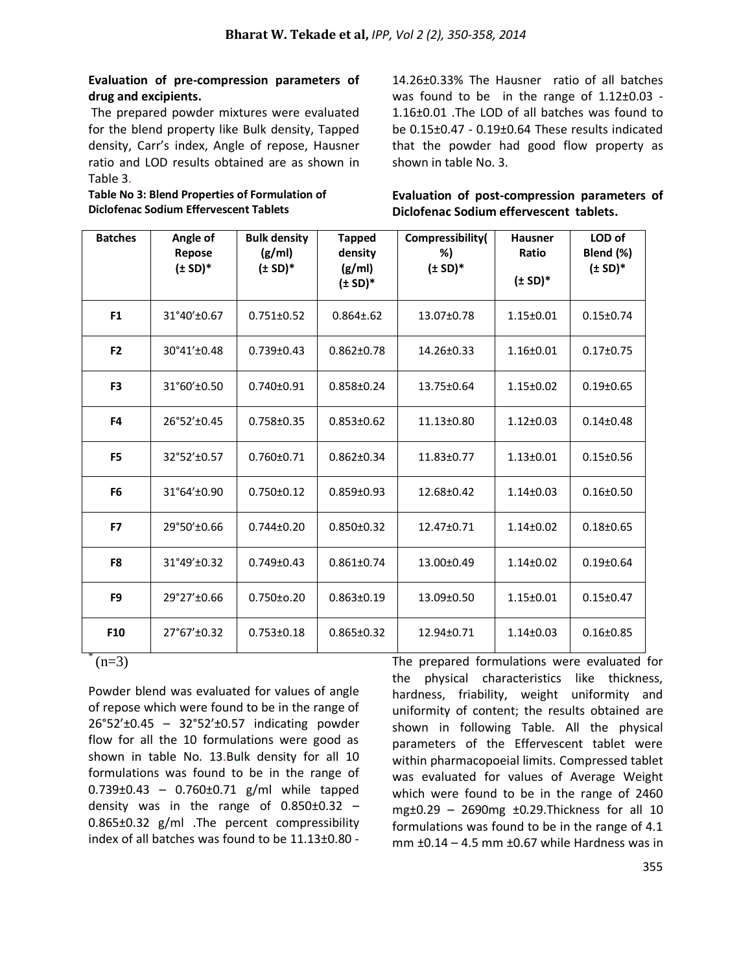## **Evaluation of pre-compression parameters of drug and excipients.**

The prepared powder mixtures were evaluated for the blend property like Bulk density, Tapped density, Carr's index, Angle of repose, Hausner ratio and LOD results obtained are as shown in Table 3.

**Table No 3: Blend Properties of Formulation of Diclofenac Sodium Effervescent Tablets**

14.26±0.33% The Hausner ratio of all batches was found to be in the range of  $1.12\pm0.03$  -1.16±0.01 .The LOD of all batches was found to be 0.15±0.47 - 0.19±0.64 These results indicated that the powder had good flow property as shown in table No. 3.

**Evaluation of post-compression parameters of Diclofenac Sodium effervescent tablets.**

| <b>Batches</b> | Angle of<br>Repose<br>$(\pm SD)^*$ | <b>Bulk density</b><br>(g/ml)<br>$(\pm SD)^*$ | <b>Tapped</b><br>density<br>(g/ml)<br>$(\pm SD)^*$ | Compressibility(<br>%)<br>$(\pm SD)^*$ | <b>Hausner</b><br>Ratio<br>$(\pm SD)^*$ | LOD of<br>Blend (%)<br>$(\pm SD)^*$ |
|----------------|------------------------------------|-----------------------------------------------|----------------------------------------------------|----------------------------------------|-----------------------------------------|-------------------------------------|
| F1             | 31°40'±0.67                        | $0.751 \pm 0.52$                              | $0.864 \pm 0.62$                                   | 13.07±0.78                             | $1.15 \pm 0.01$                         | $0.15 \pm 0.74$                     |
| F <sub>2</sub> | 30°41'±0.48                        | $0.739 \pm 0.43$                              | $0.862 \pm 0.78$                                   | 14.26±0.33                             | $1.16 \pm 0.01$                         | $0.17 \pm 0.75$                     |
| F <sub>3</sub> | 31°60'±0.50                        | $0.740 \pm 0.91$                              | $0.858 \pm 0.24$                                   | 13.75±0.64                             | $1.15 \pm 0.02$                         | $0.19 \pm 0.65$                     |
| F4             | 26°52'±0.45                        | $0.758 \pm 0.35$                              | $0.853 \pm 0.62$                                   | 11.13±0.80                             | $1.12 \pm 0.03$                         | $0.14 \pm 0.48$                     |
| F <sub>5</sub> | 32°52'±0.57                        | $0.760 \pm 0.71$                              | $0.862 \pm 0.34$                                   | 11.83±0.77                             | $1.13 \pm 0.01$                         | $0.15 \pm 0.56$                     |
| F <sub>6</sub> | 31°64'±0.90                        | $0.750 \pm 0.12$                              | $0.859 \pm 0.93$                                   | 12.68±0.42                             | $1.14 \pm 0.03$                         | $0.16 \pm 0.50$                     |
| F7             | 29°50'±0.66                        | $0.744 \pm 0.20$                              | $0.850 \pm 0.32$                                   | 12.47±0.71                             | $1.14 \pm 0.02$                         | $0.18 \pm 0.65$                     |
| F8             | 31°49'±0.32                        | $0.749 \pm 0.43$                              | $0.861 \pm 0.74$                                   | 13.00±0.49                             | $1.14 \pm 0.02$                         | $0.19 \pm 0.64$                     |
| F <sub>9</sub> | 29°27'±0.66                        | $0.750 \pm 0.20$                              | $0.863 \pm 0.19$                                   | 13.09±0.50                             | $1.15 \pm 0.01$                         | $0.15 \pm 0.47$                     |
| F10            | 27°67'±0.32                        | $0.753 \pm 0.18$                              | $0.865 \pm 0.32$                                   | 12.94±0.71                             | $1.14 \pm 0.03$                         | $0.16 \pm 0.85$                     |

 $*(n=3)$ 

Powder blend was evaluated for values of angle of repose which were found to be in the range of 26°52'±0.45 – 32°52'±0.57 indicating powder flow for all the 10 formulations were good as shown in table No. 13.Bulk density for all 10 formulations was found to be in the range of 0.739±0.43 – 0.760±0.71 g/ml while tapped density was in the range of  $0.850\pm0.32$  -0.865±0.32 g/ml .The percent compressibility index of all batches was found to be 11.13±0.80 -

The prepared formulations were evaluated for the physical characteristics like thickness, hardness, friability, weight uniformity and uniformity of content; the results obtained are shown in following Table. All the physical parameters of the Effervescent tablet were within pharmacopoeial limits. Compressed tablet was evaluated for values of Average Weight which were found to be in the range of 2460 mg±0.29 – 2690mg ±0.29.Thickness for all 10 formulations was found to be in the range of 4.1 mm ±0.14 – 4.5 mm ±0.67 while Hardness was in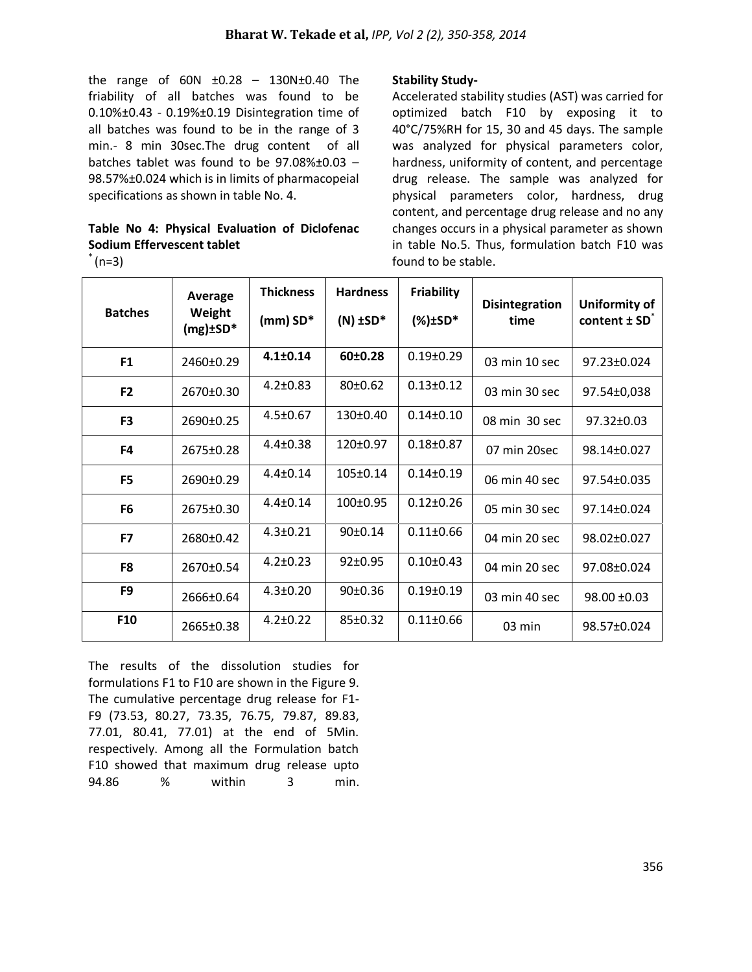the range of  $60N + 0.28 - 130N + 0.40$  The friability of all batches was found to be 0.10%±0.43 - 0.19%±0.19 Disintegration time of all batches was found to be in the range of 3 min.- 8 min 30sec.The drug content of all batches tablet was found to be 97.08%±0.03 – 98.57%±0.024 which is in limits of pharmacopeial specifications as shown in table No. 4.

# **Table No 4: Physical Evaluation of Diclofenac Sodium Effervescent tablet**

 $(n=3)$ 

### **Stability Study-**

Accelerated stability studies (AST) was carried for optimized batch F10 by exposing it to 40°C/75%RH for 15, 30 and 45 days. The sample was analyzed for physical parameters color, hardness, uniformity of content, and percentage drug release. The sample was analyzed for physical parameters color, hardness, drug content, and percentage drug release and no any changes occurs in a physical parameter as shown in table No.5. Thus, formulation batch F10 was found to be stable.

| <b>Batches</b> | Average<br>Weight<br>$(mg)$ ±SD* | <b>Thickness</b><br>$(mm)$ SD* | <b>Hardness</b><br>$(N)$ ±SD* | Friability<br>$(*)$ ±SD* | <b>Disintegration</b><br>time | Uniformity of<br>content $\pm$ SD <sup><math>\overline{ }</math></sup> |
|----------------|----------------------------------|--------------------------------|-------------------------------|--------------------------|-------------------------------|------------------------------------------------------------------------|
|                |                                  |                                |                               |                          |                               |                                                                        |
| F <sub>1</sub> | 2460±0.29                        | $4.1 \pm 0.14$                 | 60±0.28                       | $0.19 \pm 0.29$          | 03 min 10 sec                 | $97.23 \pm 0.024$                                                      |
| F <sub>2</sub> | 2670±0.30                        | $4.2 \pm 0.83$                 | 80±0.62                       | $0.13 \pm 0.12$          | 03 min 30 sec                 | 97.54±0,038                                                            |
| F <sub>3</sub> | 2690±0.25                        | $4.5 \pm 0.67$                 | $130+0.40$                    | $0.14 \pm 0.10$          | 08 min 30 sec                 | 97.32±0.03                                                             |
| F4             | 2675±0.28                        | $4.4 \pm 0.38$                 | 120±0.97                      | $0.18 \pm 0.87$          | 07 min 20sec                  | 98.14±0.027                                                            |
| F <sub>5</sub> | 2690±0.29                        | $4.4 \pm 0.14$                 | 105±0.14                      | $0.14 \pm 0.19$          | 06 min 40 sec                 | 97.54±0.035                                                            |
| F <sub>6</sub> | 2675±0.30                        | $4.4 \pm 0.14$                 | $100+0.95$                    | $0.12 \pm 0.26$          | 05 min 30 sec                 | $97.14 \pm 0.024$                                                      |
| F7             | $2680+0.42$                      | $4.3 \pm 0.21$                 | $90+0.14$                     | $0.11 \pm 0.66$          | 04 min 20 sec                 | 98.02±0.027                                                            |
| F8             | 2670±0.54                        | $4.2 \pm 0.23$                 | $92 \pm 0.95$                 | $0.10 \pm 0.43$          | 04 min 20 sec                 | 97.08±0.024                                                            |
| F9             | 2666±0.64                        | $4.3 \pm 0.20$                 | $90+0.36$                     | $0.19 \pm 0.19$          | 03 min 40 sec                 | $98.00 \pm 0.03$                                                       |
| F10            | 2665±0.38                        | $4.2 \pm 0.22$                 | $85 \pm 0.32$                 | $0.11 \pm 0.66$          | $03 \text{ min}$              | 98.57±0.024                                                            |

The results of the dissolution studies for formulations F1 to F10 are shown in the Figure 9. The cumulative percentage drug release for F1- F9 (73.53, 80.27, 73.35, 76.75, 79.87, 89.83, 77.01, 80.41, 77.01) at the end of 5Min. respectively. Among all the Formulation batch F10 showed that maximum drug release upto 94.86 % within 3 min.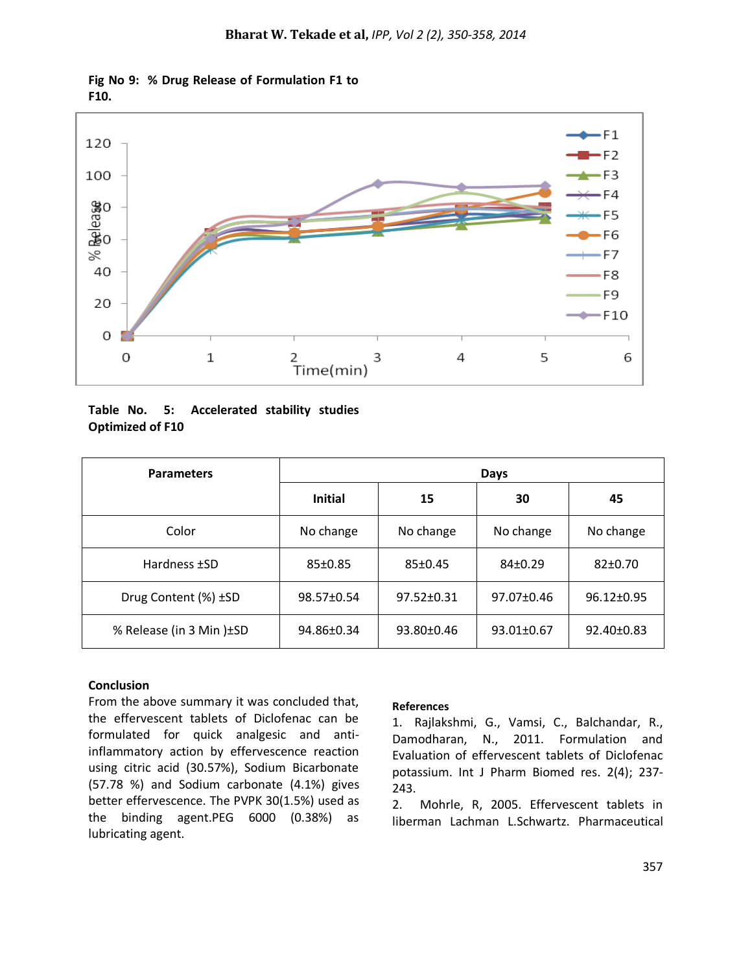$\leftarrow$ F1 120  $-F2$ 100  $\leftarrow$ F3  $\xrightarrow{F4}$ **Belease**  $\leftarrow$ F5  $-F6$  $-F7$ ℅ 40 -F8 ۰F9 20  $\leftarrow$ F10 O  $2$ Time(min)  $\mathbf 0$  $\mathbf 1$  $\overline{4}$ 5 3 6



|                         |  | Table No. 5: Accelerated stability studies |  |
|-------------------------|--|--------------------------------------------|--|
| <b>Optimized of F10</b> |  |                                            |  |

| <b>Parameters</b>         | Days           |                  |                  |                  |  |  |
|---------------------------|----------------|------------------|------------------|------------------|--|--|
|                           | <b>Initial</b> | 15               | 30               | 45               |  |  |
| Color                     | No change      | No change        | No change        | No change        |  |  |
| Hardness ±SD              | $85 \pm 0.85$  | 85±0.45          | $84\pm0.29$      | $82 \pm 0.70$    |  |  |
| Drug Content (%) ±SD      | 98.57±0.54     | $97.52 \pm 0.31$ | $97.07 \pm 0.46$ | $96.12 \pm 0.95$ |  |  |
| % Release (in 3 Min) ± SD | 94.86±0.34     | $93.80 \pm 0.46$ | 93.01±0.67       | 92.40±0.83       |  |  |

#### **Conclusion**

From the above summary it was concluded that, the effervescent tablets of Diclofenac can be formulated for quick analgesic and antiinflammatory action by effervescence reaction using citric acid (30.57%), Sodium Bicarbonate (57.78 %) and Sodium carbonate (4.1%) gives better effervescence. The PVPK 30(1.5%) used as the binding agent.PEG 6000 (0.38%) as lubricating agent.

#### **References**

1. Rajlakshmi, G., Vamsi, C., Balchandar, R., Damodharan, N., 2011. Formulation and Evaluation of effervescent tablets of Diclofenac potassium. Int J Pharm Biomed res. 2(4); 237- 243.

2. Mohrle, R, 2005. Effervescent tablets in liberman Lachman L.Schwartz. Pharmaceutical